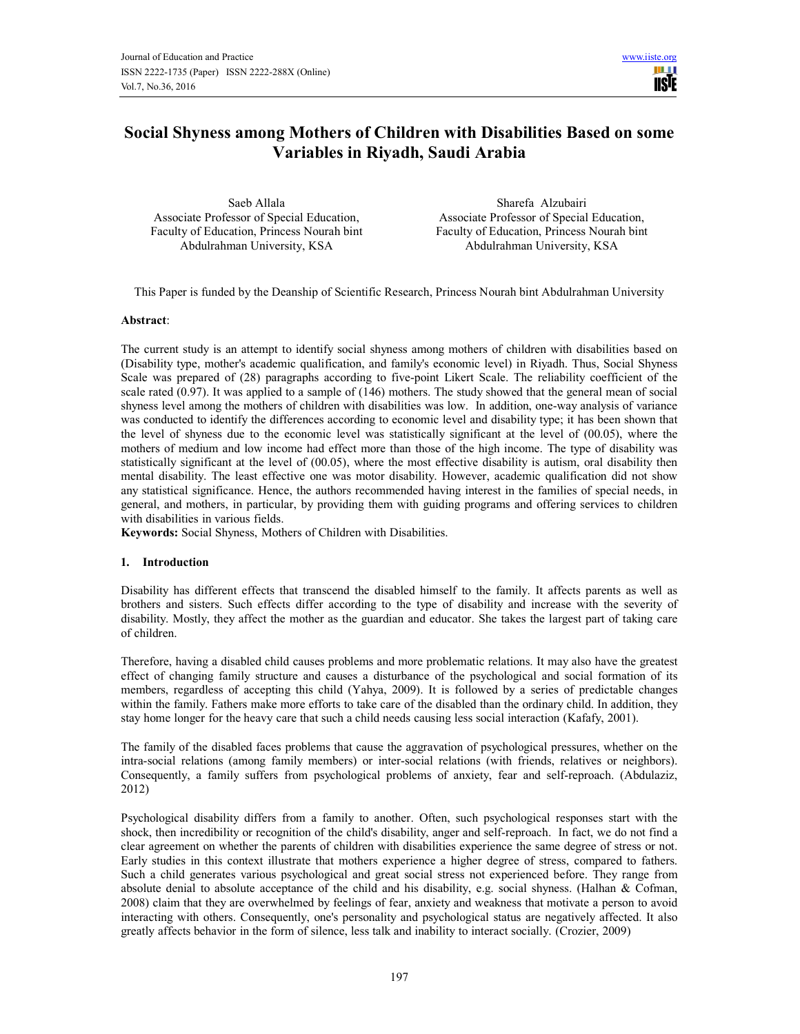

# Social Shyness among Mothers of Children with Disabilities Based on some Variables in Riyadh, Saudi Arabia

Associate Professor of Special Education, Faculty of Education, Princess Nourah bint Abdulrahman University, KSA

Saeb Allala Sharefa Alzubairi Associate Professor of Special Education, Faculty of Education, Princess Nourah bint Abdulrahman University, KSA

This Paper is funded by the Deanship of Scientific Research, Princess Nourah bint Abdulrahman University

#### Abstract:

The current study is an attempt to identify social shyness among mothers of children with disabilities based on (Disability type, mother's academic qualification, and family's economic level) in Riyadh. Thus, Social Shyness Scale was prepared of (28) paragraphs according to five-point Likert Scale. The reliability coefficient of the scale rated (0.97). It was applied to a sample of (146) mothers. The study showed that the general mean of social shyness level among the mothers of children with disabilities was low. In addition, one-way analysis of variance was conducted to identify the differences according to economic level and disability type; it has been shown that the level of shyness due to the economic level was statistically significant at the level of (00.05), where the mothers of medium and low income had effect more than those of the high income. The type of disability was statistically significant at the level of (00.05), where the most effective disability is autism, oral disability then mental disability. The least effective one was motor disability. However, academic qualification did not show any statistical significance. Hence, the authors recommended having interest in the families of special needs, in general, and mothers, in particular, by providing them with guiding programs and offering services to children with disabilities in various fields.

Keywords: Social Shyness, Mothers of Children with Disabilities.

## 1. Introduction

Disability has different effects that transcend the disabled himself to the family. It affects parents as well as brothers and sisters. Such effects differ according to the type of disability and increase with the severity of disability. Mostly, they affect the mother as the guardian and educator. She takes the largest part of taking care of children.

Therefore, having a disabled child causes problems and more problematic relations. It may also have the greatest effect of changing family structure and causes a disturbance of the psychological and social formation of its members, regardless of accepting this child (Yahya, 2009). It is followed by a series of predictable changes within the family. Fathers make more efforts to take care of the disabled than the ordinary child. In addition, they stay home longer for the heavy care that such a child needs causing less social interaction (Kafafy, 2001).

The family of the disabled faces problems that cause the aggravation of psychological pressures, whether on the intra-social relations (among family members) or inter-social relations (with friends, relatives or neighbors). Consequently, a family suffers from psychological problems of anxiety, fear and self-reproach. (Abdulaziz, 2012)

Psychological disability differs from a family to another. Often, such psychological responses start with the shock, then incredibility or recognition of the child's disability, anger and self-reproach. In fact, we do not find a clear agreement on whether the parents of children with disabilities experience the same degree of stress or not. Early studies in this context illustrate that mothers experience a higher degree of stress, compared to fathers. Such a child generates various psychological and great social stress not experienced before. They range from absolute denial to absolute acceptance of the child and his disability, e.g. social shyness. (Halhan & Cofman, 2008) claim that they are overwhelmed by feelings of fear, anxiety and weakness that motivate a person to avoid interacting with others. Consequently, one's personality and psychological status are negatively affected. It also greatly affects behavior in the form of silence, less talk and inability to interact socially. (Crozier, 2009)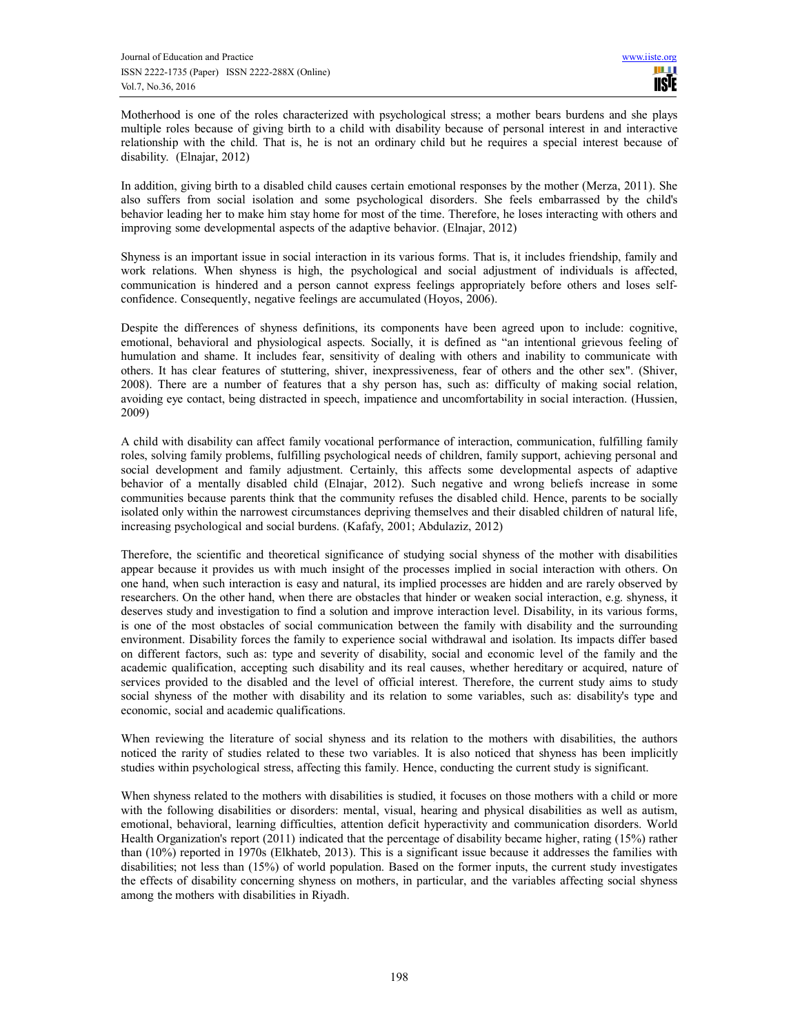Motherhood is one of the roles characterized with psychological stress; a mother bears burdens and she plays multiple roles because of giving birth to a child with disability because of personal interest in and interactive relationship with the child. That is, he is not an ordinary child but he requires a special interest because of disability. (Elnajar, 2012)

In addition, giving birth to a disabled child causes certain emotional responses by the mother (Merza, 2011). She also suffers from social isolation and some psychological disorders. She feels embarrassed by the child's behavior leading her to make him stay home for most of the time. Therefore, he loses interacting with others and improving some developmental aspects of the adaptive behavior. (Elnajar, 2012)

Shyness is an important issue in social interaction in its various forms. That is, it includes friendship, family and work relations. When shyness is high, the psychological and social adjustment of individuals is affected, communication is hindered and a person cannot express feelings appropriately before others and loses selfconfidence. Consequently, negative feelings are accumulated (Hoyos, 2006).

Despite the differences of shyness definitions, its components have been agreed upon to include: cognitive, emotional, behavioral and physiological aspects. Socially, it is defined as "an intentional grievous feeling of humulation and shame. It includes fear, sensitivity of dealing with others and inability to communicate with others. It has clear features of stuttering, shiver, inexpressiveness, fear of others and the other sex". (Shiver, 2008). There are a number of features that a shy person has, such as: difficulty of making social relation, avoiding eye contact, being distracted in speech, impatience and uncomfortability in social interaction. (Hussien, 2009)

A child with disability can affect family vocational performance of interaction, communication, fulfilling family roles, solving family problems, fulfilling psychological needs of children, family support, achieving personal and social development and family adjustment. Certainly, this affects some developmental aspects of adaptive behavior of a mentally disabled child (Elnajar, 2012). Such negative and wrong beliefs increase in some communities because parents think that the community refuses the disabled child. Hence, parents to be socially isolated only within the narrowest circumstances depriving themselves and their disabled children of natural life, increasing psychological and social burdens. (Kafafy, 2001; Abdulaziz, 2012)

Therefore, the scientific and theoretical significance of studying social shyness of the mother with disabilities appear because it provides us with much insight of the processes implied in social interaction with others. On one hand, when such interaction is easy and natural, its implied processes are hidden and are rarely observed by researchers. On the other hand, when there are obstacles that hinder or weaken social interaction, e.g. shyness, it deserves study and investigation to find a solution and improve interaction level. Disability, in its various forms, is one of the most obstacles of social communication between the family with disability and the surrounding environment. Disability forces the family to experience social withdrawal and isolation. Its impacts differ based on different factors, such as: type and severity of disability, social and economic level of the family and the academic qualification, accepting such disability and its real causes, whether hereditary or acquired, nature of services provided to the disabled and the level of official interest. Therefore, the current study aims to study social shyness of the mother with disability and its relation to some variables, such as: disability's type and economic, social and academic qualifications.

When reviewing the literature of social shyness and its relation to the mothers with disabilities, the authors noticed the rarity of studies related to these two variables. It is also noticed that shyness has been implicitly studies within psychological stress, affecting this family. Hence, conducting the current study is significant.

When shyness related to the mothers with disabilities is studied, it focuses on those mothers with a child or more with the following disabilities or disorders: mental, visual, hearing and physical disabilities as well as autism, emotional, behavioral, learning difficulties, attention deficit hyperactivity and communication disorders. World Health Organization's report (2011) indicated that the percentage of disability became higher, rating (15%) rather than (10%) reported in 1970s (Elkhateb, 2013). This is a significant issue because it addresses the families with disabilities; not less than (15%) of world population. Based on the former inputs, the current study investigates the effects of disability concerning shyness on mothers, in particular, and the variables affecting social shyness among the mothers with disabilities in Riyadh.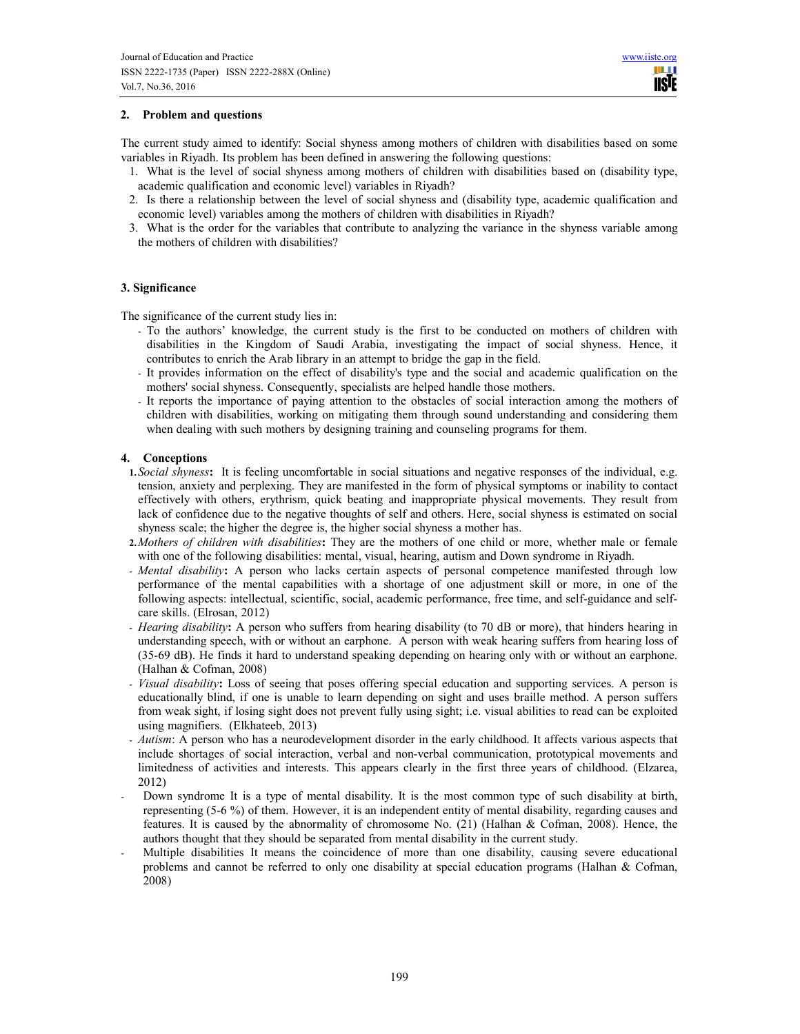# 2. Problem and questions

The current study aimed to identify: Social shyness among mothers of children with disabilities based on some variables in Riyadh. Its problem has been defined in answering the following questions:

- 1. What is the level of social shyness among mothers of children with disabilities based on (disability type, academic qualification and economic level) variables in Riyadh?
- 2. Is there a relationship between the level of social shyness and (disability type, academic qualification and economic level) variables among the mothers of children with disabilities in Riyadh?
- 3. What is the order for the variables that contribute to analyzing the variance in the shyness variable among the mothers of children with disabilities?

## 3. Significance

The significance of the current study lies in:

- To the authors' knowledge, the current study is the first to be conducted on mothers of children with disabilities in the Kingdom of Saudi Arabia, investigating the impact of social shyness. Hence, it contributes to enrich the Arab library in an attempt to bridge the gap in the field.
- It provides information on the effect of disability's type and the social and academic qualification on the mothers' social shyness. Consequently, specialists are helped handle those mothers.
- It reports the importance of paying attention to the obstacles of social interaction among the mothers of children with disabilities, working on mitigating them through sound understanding and considering them when dealing with such mothers by designing training and counseling programs for them.

#### 4. Conceptions

- 1. Social shyness: It is feeling uncomfortable in social situations and negative responses of the individual, e.g. tension, anxiety and perplexing. They are manifested in the form of physical symptoms or inability to contact effectively with others, erythrism, quick beating and inappropriate physical movements. They result from lack of confidence due to the negative thoughts of self and others. Here, social shyness is estimated on social shyness scale; the higher the degree is, the higher social shyness a mother has.
- 2. Mothers of children with disabilities: They are the mothers of one child or more, whether male or female with one of the following disabilities: mental, visual, hearing, autism and Down syndrome in Riyadh.
- Mental disability: A person who lacks certain aspects of personal competence manifested through low performance of the mental capabilities with a shortage of one adjustment skill or more, in one of the following aspects: intellectual, scientific, social, academic performance, free time, and self-guidance and selfcare skills. (Elrosan, 2012)
- Hearing disability: A person who suffers from hearing disability (to 70 dB or more), that hinders hearing in understanding speech, with or without an earphone. A person with weak hearing suffers from hearing loss of (35-69 dB). He finds it hard to understand speaking depending on hearing only with or without an earphone. (Halhan & Cofman, 2008)
- Visual disability: Loss of seeing that poses offering special education and supporting services. A person is educationally blind, if one is unable to learn depending on sight and uses braille method. A person suffers from weak sight, if losing sight does not prevent fully using sight; i.e. visual abilities to read can be exploited using magnifiers. (Elkhateeb, 2013)
- Autism: A person who has a neurodevelopment disorder in the early childhood. It affects various aspects that include shortages of social interaction, verbal and non-verbal communication, prototypical movements and limitedness of activities and interests. This appears clearly in the first three years of childhood. (Elzarea, 2012)
- Down syndrome It is a type of mental disability. It is the most common type of such disability at birth, representing (5-6 %) of them. However, it is an independent entity of mental disability, regarding causes and features. It is caused by the abnormality of chromosome No. (21) (Halhan & Cofman, 2008). Hence, the authors thought that they should be separated from mental disability in the current study.
- Multiple disabilities It means the coincidence of more than one disability, causing severe educational problems and cannot be referred to only one disability at special education programs (Halhan & Cofman, 2008)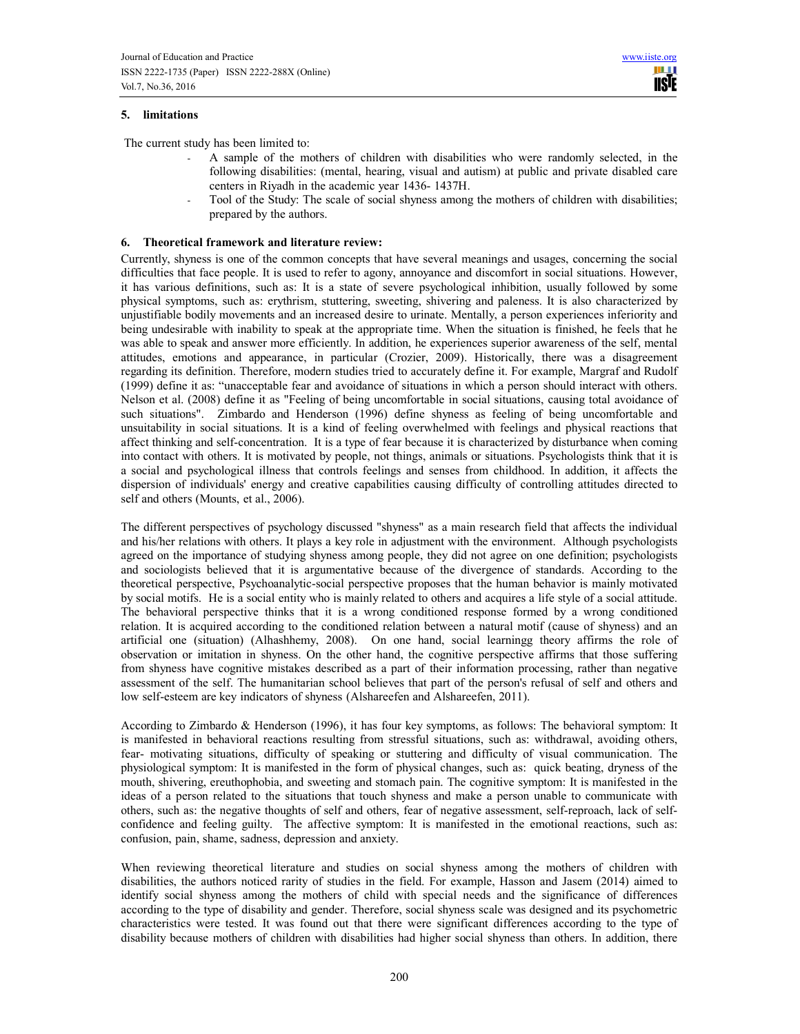# 5. limitations

The current study has been limited to:

- A sample of the mothers of children with disabilities who were randomly selected, in the following disabilities: (mental, hearing, visual and autism) at public and private disabled care centers in Riyadh in the academic year 1436- 1437H.
- Tool of the Study: The scale of social shyness among the mothers of children with disabilities; prepared by the authors.

## 6. Theoretical framework and literature review:

Currently, shyness is one of the common concepts that have several meanings and usages, concerning the social difficulties that face people. It is used to refer to agony, annoyance and discomfort in social situations. However, it has various definitions, such as: It is a state of severe psychological inhibition, usually followed by some physical symptoms, such as: erythrism, stuttering, sweeting, shivering and paleness. It is also characterized by unjustifiable bodily movements and an increased desire to urinate. Mentally, a person experiences inferiority and being undesirable with inability to speak at the appropriate time. When the situation is finished, he feels that he was able to speak and answer more efficiently. In addition, he experiences superior awareness of the self, mental attitudes, emotions and appearance, in particular (Crozier, 2009). Historically, there was a disagreement regarding its definition. Therefore, modern studies tried to accurately define it. For example, Margraf and Rudolf (1999) define it as: "unacceptable fear and avoidance of situations in which a person should interact with others. Nelson et al. (2008) define it as "Feeling of being uncomfortable in social situations, causing total avoidance of such situations". Zimbardo and Henderson (1996) define shyness as feeling of being uncomfortable and unsuitability in social situations. It is a kind of feeling overwhelmed with feelings and physical reactions that affect thinking and self-concentration. It is a type of fear because it is characterized by disturbance when coming into contact with others. It is motivated by people, not things, animals or situations. Psychologists think that it is a social and psychological illness that controls feelings and senses from childhood. In addition, it affects the dispersion of individuals' energy and creative capabilities causing difficulty of controlling attitudes directed to self and others (Mounts, et al., 2006).

The different perspectives of psychology discussed "shyness" as a main research field that affects the individual and his/her relations with others. It plays a key role in adjustment with the environment. Although psychologists agreed on the importance of studying shyness among people, they did not agree on one definition; psychologists and sociologists believed that it is argumentative because of the divergence of standards. According to the theoretical perspective, Psychoanalytic-social perspective proposes that the human behavior is mainly motivated by social motifs. He is a social entity who is mainly related to others and acquires a life style of a social attitude. The behavioral perspective thinks that it is a wrong conditioned response formed by a wrong conditioned relation. It is acquired according to the conditioned relation between a natural motif (cause of shyness) and an artificial one (situation) (Alhashhemy, 2008). On one hand, social learningg theory affirms the role of observation or imitation in shyness. On the other hand, the cognitive perspective affirms that those suffering from shyness have cognitive mistakes described as a part of their information processing, rather than negative assessment of the self. The humanitarian school believes that part of the person's refusal of self and others and low self-esteem are key indicators of shyness (Alshareefen and Alshareefen, 2011).

According to Zimbardo & Henderson (1996), it has four key symptoms, as follows: The behavioral symptom: It is manifested in behavioral reactions resulting from stressful situations, such as: withdrawal, avoiding others, fear- motivating situations, difficulty of speaking or stuttering and difficulty of visual communication. The physiological symptom: It is manifested in the form of physical changes, such as: quick beating, dryness of the mouth, shivering, ereuthophobia, and sweeting and stomach pain. The cognitive symptom: It is manifested in the ideas of a person related to the situations that touch shyness and make a person unable to communicate with others, such as: the negative thoughts of self and others, fear of negative assessment, self-reproach, lack of selfconfidence and feeling guilty. The affective symptom: It is manifested in the emotional reactions, such as: confusion, pain, shame, sadness, depression and anxiety.

When reviewing theoretical literature and studies on social shyness among the mothers of children with disabilities, the authors noticed rarity of studies in the field. For example, Hasson and Jasem (2014) aimed to identify social shyness among the mothers of child with special needs and the significance of differences according to the type of disability and gender. Therefore, social shyness scale was designed and its psychometric characteristics were tested. It was found out that there were significant differences according to the type of disability because mothers of children with disabilities had higher social shyness than others. In addition, there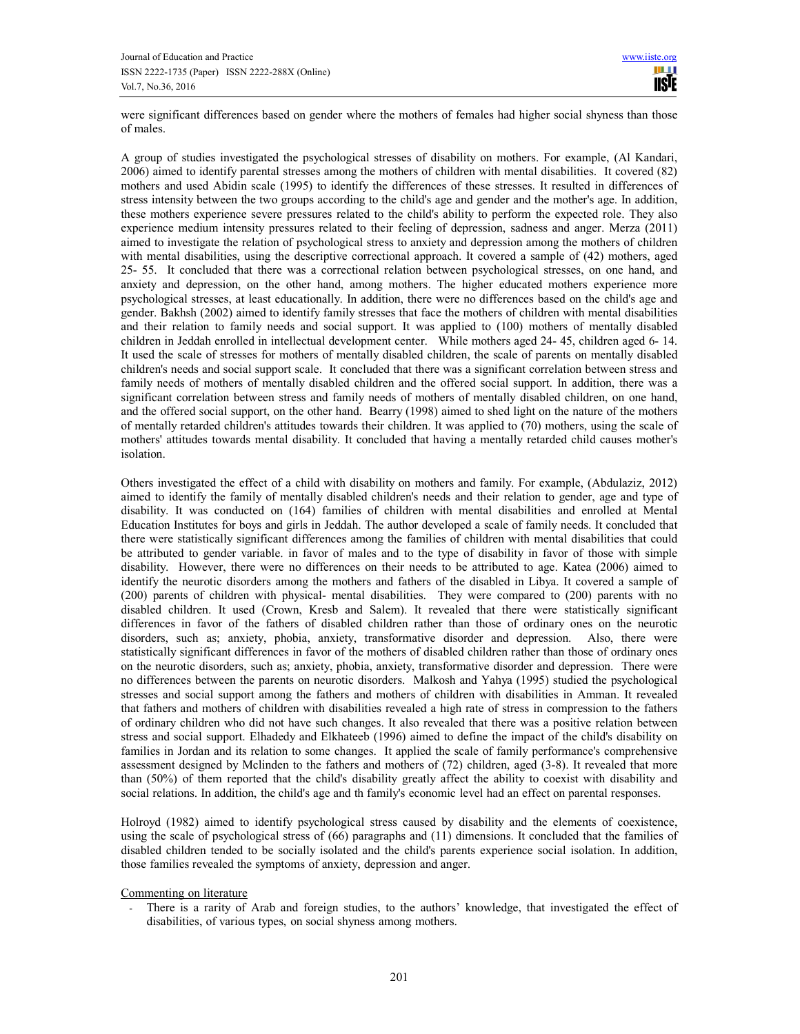were significant differences based on gender where the mothers of females had higher social shyness than those of males.

A group of studies investigated the psychological stresses of disability on mothers. For example, (Al Kandari, 2006) aimed to identify parental stresses among the mothers of children with mental disabilities. It covered (82) mothers and used Abidin scale (1995) to identify the differences of these stresses. It resulted in differences of stress intensity between the two groups according to the child's age and gender and the mother's age. In addition, these mothers experience severe pressures related to the child's ability to perform the expected role. They also experience medium intensity pressures related to their feeling of depression, sadness and anger. Merza (2011) aimed to investigate the relation of psychological stress to anxiety and depression among the mothers of children with mental disabilities, using the descriptive correctional approach. It covered a sample of (42) mothers, aged 25- 55. It concluded that there was a correctional relation between psychological stresses, on one hand, and anxiety and depression, on the other hand, among mothers. The higher educated mothers experience more psychological stresses, at least educationally. In addition, there were no differences based on the child's age and gender. Bakhsh (2002) aimed to identify family stresses that face the mothers of children with mental disabilities and their relation to family needs and social support. It was applied to (100) mothers of mentally disabled children in Jeddah enrolled in intellectual development center. While mothers aged 24- 45, children aged 6- 14. It used the scale of stresses for mothers of mentally disabled children, the scale of parents on mentally disabled children's needs and social support scale. It concluded that there was a significant correlation between stress and family needs of mothers of mentally disabled children and the offered social support. In addition, there was a significant correlation between stress and family needs of mothers of mentally disabled children, on one hand, and the offered social support, on the other hand. Bearry (1998) aimed to shed light on the nature of the mothers of mentally retarded children's attitudes towards their children. It was applied to (70) mothers, using the scale of mothers' attitudes towards mental disability. It concluded that having a mentally retarded child causes mother's isolation.

Others investigated the effect of a child with disability on mothers and family. For example, (Abdulaziz, 2012) aimed to identify the family of mentally disabled children's needs and their relation to gender, age and type of disability. It was conducted on (164) families of children with mental disabilities and enrolled at Mental Education Institutes for boys and girls in Jeddah. The author developed a scale of family needs. It concluded that there were statistically significant differences among the families of children with mental disabilities that could be attributed to gender variable. in favor of males and to the type of disability in favor of those with simple disability. However, there were no differences on their needs to be attributed to age. Katea (2006) aimed to identify the neurotic disorders among the mothers and fathers of the disabled in Libya. It covered a sample of (200) parents of children with physical- mental disabilities. They were compared to (200) parents with no disabled children. It used (Crown, Kresb and Salem). It revealed that there were statistically significant differences in favor of the fathers of disabled children rather than those of ordinary ones on the neurotic disorders, such as; anxiety, phobia, anxiety, transformative disorder and depression. Also, there were statistically significant differences in favor of the mothers of disabled children rather than those of ordinary ones on the neurotic disorders, such as; anxiety, phobia, anxiety, transformative disorder and depression. There were no differences between the parents on neurotic disorders. Malkosh and Yahya (1995) studied the psychological stresses and social support among the fathers and mothers of children with disabilities in Amman. It revealed that fathers and mothers of children with disabilities revealed a high rate of stress in compression to the fathers of ordinary children who did not have such changes. It also revealed that there was a positive relation between stress and social support. Elhadedy and Elkhateeb (1996) aimed to define the impact of the child's disability on families in Jordan and its relation to some changes. It applied the scale of family performance's comprehensive assessment designed by Mclinden to the fathers and mothers of (72) children, aged (3-8). It revealed that more than (50%) of them reported that the child's disability greatly affect the ability to coexist with disability and social relations. In addition, the child's age and th family's economic level had an effect on parental responses.

Holroyd (1982) aimed to identify psychological stress caused by disability and the elements of coexistence, using the scale of psychological stress of (66) paragraphs and (11) dimensions. It concluded that the families of disabled children tended to be socially isolated and the child's parents experience social isolation. In addition, those families revealed the symptoms of anxiety, depression and anger.

Commenting on literature

There is a rarity of Arab and foreign studies, to the authors' knowledge, that investigated the effect of disabilities, of various types, on social shyness among mothers.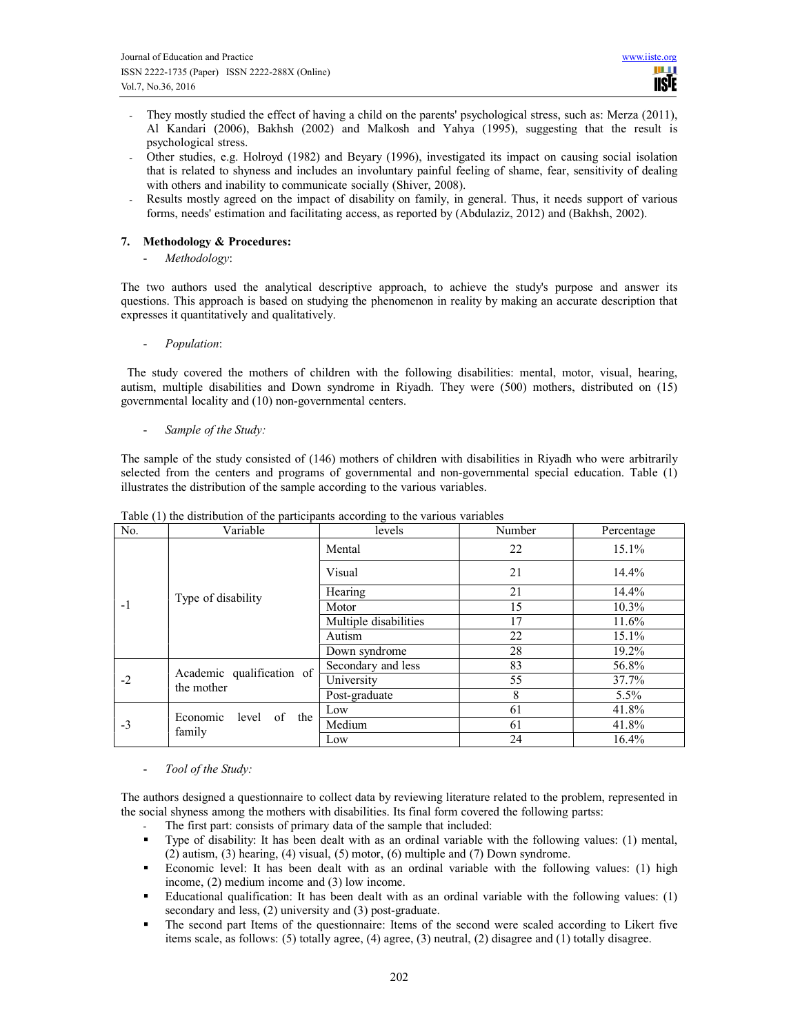- They mostly studied the effect of having a child on the parents' psychological stress, such as: Merza (2011), Al Kandari (2006), Bakhsh (2002) and Malkosh and Yahya (1995), suggesting that the result is psychological stress.
- Other studies, e.g. Holroyd (1982) and Beyary (1996), investigated its impact on causing social isolation that is related to shyness and includes an involuntary painful feeling of shame, fear, sensitivity of dealing with others and inability to communicate socially (Shiver, 2008).
- Results mostly agreed on the impact of disability on family, in general. Thus, it needs support of various forms, needs' estimation and facilitating access, as reported by (Abdulaziz, 2012) and (Bakhsh, 2002).

# 7. Methodology & Procedures:

Methodology:

The two authors used the analytical descriptive approach, to achieve the study's purpose and answer its questions. This approach is based on studying the phenomenon in reality by making an accurate description that expresses it quantitatively and qualitatively.

Population:

 The study covered the mothers of children with the following disabilities: mental, motor, visual, hearing, autism, multiple disabilities and Down syndrome in Riyadh. They were (500) mothers, distributed on (15) governmental locality and (10) non-governmental centers.

- Sample of the Study:

The sample of the study consisted of (146) mothers of children with disabilities in Riyadh who were arbitrarily selected from the centers and programs of governmental and non-governmental special education. Table (1) illustrates the distribution of the sample according to the various variables.

| No.  | Variable                                | levels                | Number | Percentage |
|------|-----------------------------------------|-----------------------|--------|------------|
|      |                                         | Mental                | 22     | 15.1%      |
|      |                                         | Visual                | 21     | 14.4%      |
|      | Type of disability                      | Hearing               | 21     | 14.4%      |
| $-1$ |                                         | Motor                 | 15     | $10.3\%$   |
|      |                                         | Multiple disabilities | 17     | 11.6%      |
|      |                                         | Autism                | 22     | 15.1%      |
|      |                                         | Down syndrome         | 28     | 19.2%      |
|      |                                         | Secondary and less    | 83     | 56.8%      |
| $-2$ | Academic qualification of<br>the mother | University            | 55     | 37.7%      |
|      |                                         | Post-graduate         | 8      | $5.5\%$    |
|      | of the<br>Economic<br>level<br>family   | Low                   | 61     | 41.8%      |
| $-3$ |                                         | Medium                | 61     | 41.8%      |
|      |                                         | Low                   | 24     | 16.4%      |

Table (1) the distribution of the participants according to the various variables

Tool of the Study:

The authors designed a questionnaire to collect data by reviewing literature related to the problem, represented in the social shyness among the mothers with disabilities. Its final form covered the following partss:

- The first part: consists of primary data of the sample that included:
- Type of disability: It has been dealt with as an ordinal variable with the following values: (1) mental, (2) autism, (3) hearing, (4) visual, (5) motor, (6) multiple and (7) Down syndrome.
- Economic level: It has been dealt with as an ordinal variable with the following values: (1) high income, (2) medium income and (3) low income.
- Educational qualification: It has been dealt with as an ordinal variable with the following values: (1) secondary and less, (2) university and (3) post-graduate.
- The second part Items of the questionnaire: Items of the second were scaled according to Likert five items scale, as follows: (5) totally agree, (4) agree, (3) neutral, (2) disagree and (1) totally disagree.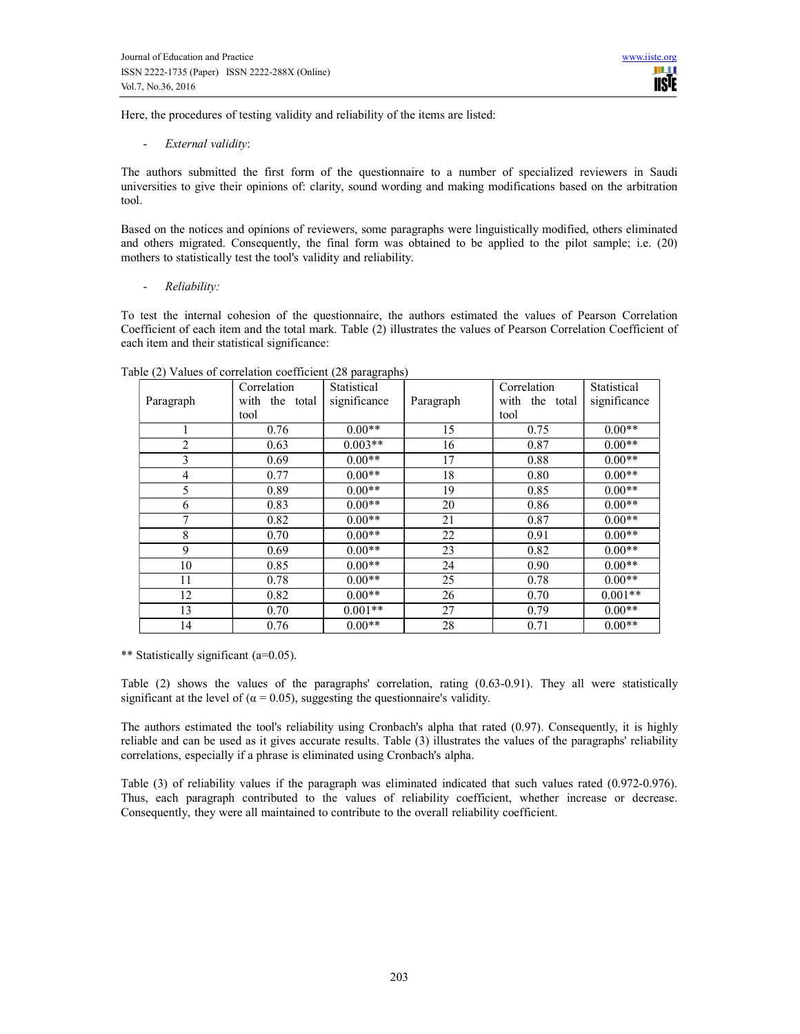Here, the procedures of testing validity and reliability of the items are listed:

- External validity:

The authors submitted the first form of the questionnaire to a number of specialized reviewers in Saudi universities to give their opinions of: clarity, sound wording and making modifications based on the arbitration tool.

Based on the notices and opinions of reviewers, some paragraphs were linguistically modified, others eliminated and others migrated. Consequently, the final form was obtained to be applied to the pilot sample; i.e. (20) mothers to statistically test the tool's validity and reliability.

Reliability:

To test the internal cohesion of the questionnaire, the authors estimated the values of Pearson Correlation Coefficient of each item and the total mark. Table (2) illustrates the values of Pearson Correlation Coefficient of each item and their statistical significance:

| $\sqrt{2}$     | Correlation    | Statistical  |           | Correlation    | Statistical  |
|----------------|----------------|--------------|-----------|----------------|--------------|
| Paragraph      | with the total | significance | Paragraph | with the total | significance |
|                | tool           |              |           | tool           |              |
|                | 0.76           | $0.00**$     | 15        | 0.75           | $0.00**$     |
| $\overline{2}$ | 0.63           | $0.003**$    | 16        | 0.87           | $0.00**$     |
| 3              | 0.69           | $0.00**$     | 17        | 0.88           | $0.00**$     |
| 4              | 0.77           | $0.00**$     | 18        | 0.80           | $0.00**$     |
| 5              | 0.89           | $0.00**$     | 19        | 0.85           | $0.00**$     |
| 6              | 0.83           | $0.00**$     | 20        | 0.86           | $0.00**$     |
| 7              | 0.82           | $0.00**$     | 21        | 0.87           | $0.00**$     |
| 8              | 0.70           | $0.00**$     | 22        | 0.91           | $0.00**$     |
| 9              | 0.69           | $0.00**$     | 23        | 0.82           | $0.00**$     |
| 10             | 0.85           | $0.00**$     | 24        | 0.90           | $0.00**$     |
| 11             | 0.78           | $0.00**$     | 25        | 0.78           | $0.00**$     |
| 12             | 0.82           | $0.00**$     | 26        | 0.70           | $0.001**$    |
| 13             | 0.70           | $0.001**$    | 27        | 0.79           | $0.00**$     |
| 14             | 0.76           | $0.00**$     | 28        | 0.71           | $0.00**$     |

Table (2) Values of correlation coefficient (28 paragraphs)

\*\* Statistically significant (a=0.05).

Table (2) shows the values of the paragraphs' correlation, rating (0.63-0.91). They all were statistically significant at the level of ( $\alpha$  = 0.05), suggesting the questionnaire's validity.

The authors estimated the tool's reliability using Cronbach's alpha that rated (0.97). Consequently, it is highly reliable and can be used as it gives accurate results. Table (3) illustrates the values of the paragraphs' reliability correlations, especially if a phrase is eliminated using Cronbach's alpha.

Table (3) of reliability values if the paragraph was eliminated indicated that such values rated (0.972-0.976). Thus, each paragraph contributed to the values of reliability coefficient, whether increase or decrease. Consequently, they were all maintained to contribute to the overall reliability coefficient.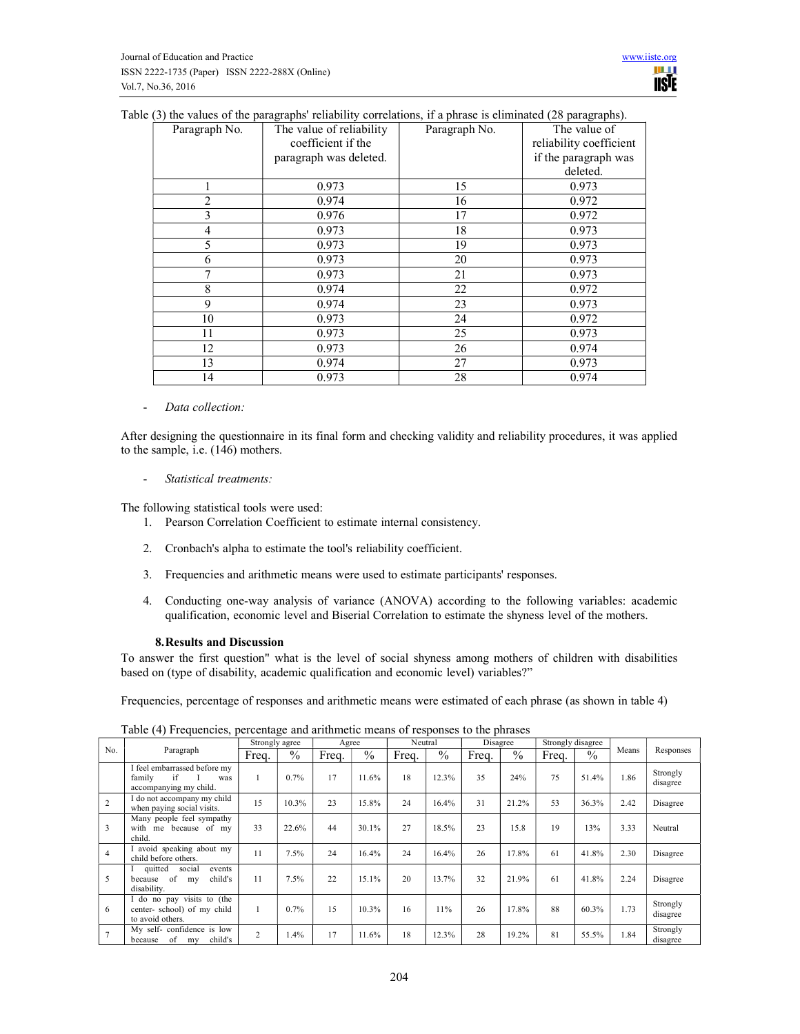|  |  |  | Table (3) the values of the paragraphs' reliability correlations, if a phrase is eliminated (28 paragraphs). |  |  |  |  |
|--|--|--|--------------------------------------------------------------------------------------------------------------|--|--|--|--|
|  |  |  |                                                                                                              |  |  |  |  |

| Paragraph No.  | The value of reliability | Paragraph No. | The value of            |
|----------------|--------------------------|---------------|-------------------------|
|                | coefficient if the       |               | reliability coefficient |
|                | paragraph was deleted.   |               | if the paragraph was    |
|                |                          |               | deleted.                |
| 1              | 0.973                    | 15            | 0.973                   |
| 2              | 0.974                    | 16            | 0.972                   |
| 3              | 0.976                    | 17            | 0.972                   |
| $\overline{4}$ | 0.973                    | 18            | 0.973                   |
| 5              | 0.973                    | 19            | 0.973                   |
| 6              | 0.973                    | 20            | 0.973                   |
| 7              | 0.973                    | 21            | 0.973                   |
| 8              | 0.974                    | 22            | 0.972                   |
| 9              | 0.974                    | 23            | 0.973                   |
| 10             | 0.973                    | 24            | 0.972                   |
| 11             | 0.973                    | 25            | 0.973                   |
| 12             | 0.973                    | 26            | 0.974                   |
| 13             | 0.974                    | 27            | 0.973                   |
| 14             | 0.973                    | 28            | 0.974                   |

- Data collection:

After designing the questionnaire in its final form and checking validity and reliability procedures, it was applied to the sample, i.e. (146) mothers.

- Statistical treatments:

The following statistical tools were used:

- 1. Pearson Correlation Coefficient to estimate internal consistency.
- 2. Cronbach's alpha to estimate the tool's reliability coefficient.
- 3. Frequencies and arithmetic means were used to estimate participants' responses.
- 4. Conducting one-way analysis of variance (ANOVA) according to the following variables: academic qualification, economic level and Biserial Correlation to estimate the shyness level of the mothers.

#### 8.Results and Discussion

To answer the first question" what is the level of social shyness among mothers of children with disabilities based on (type of disability, academic qualification and economic level) variables?"

Frequencies, percentage of responses and arithmetic means were estimated of each phrase (as shown in table 4)

|                |                                                                               |                | Strongly agree |       | Agree         |       | Neutral |       | Disagree |       | Strongly disagree |       |                      |
|----------------|-------------------------------------------------------------------------------|----------------|----------------|-------|---------------|-------|---------|-------|----------|-------|-------------------|-------|----------------------|
| No.            | Paragraph                                                                     | Freq.          | $\%$           | Freq. | $\frac{0}{0}$ | Freq. | $\%$    | Freq. | $\%$     | Freq. | $\frac{0}{0}$     | Means | Responses            |
|                | I feel embarrassed before my<br>if<br>family<br>was<br>accompanying my child. |                | 0.7%           | 17    | 11.6%         | 18    | 12.3%   | 35    | 24%      | 75    | 51.4%             | 1.86  | Strongly<br>disagree |
| $\overline{c}$ | I do not accompany my child<br>when paying social visits.                     | 15             | 10.3%          | 23    | 15.8%         | 24    | 16.4%   | 31    | 21.2%    | 53    | 36.3%             | 2.42  | Disagree             |
| 3              | Many people feel sympathy<br>me because of my<br>with<br>child.               | 33             | 22.6%          | 44    | 30.1%         | 27    | 18.5%   | 23    | 15.8     | 19    | 13%               | 3.33  | Neutral              |
| $\overline{4}$ | I avoid speaking about my<br>child before others.                             | 11             | 7.5%           | 24    | 16.4%         | 24    | 16.4%   | 26    | 17.8%    | 61    | 41.8%             | 2.30  | Disagree             |
| 5              | quitted<br>social<br>events<br>of<br>child's<br>because<br>my<br>disability.  | 11             | 7.5%           | 22    | 15.1%         | 20    | 13.7%   | 32    | 21.9%    | 61    | 41.8%             | 2.24  | Disagree             |
| 6              | I do no pay visits to (the<br>center-school) of my child<br>to avoid others.  |                | 0.7%           | 15    | 10.3%         | 16    | 11%     | 26    | 17.8%    | 88    | 60.3%             | 1.73  | Strongly<br>disagree |
| $\tau$         | My self-confidence is low<br>child's<br>of<br>because<br>my                   | $\overline{c}$ | .4%            | 17    | 11.6%         | 18    | 12.3%   | 28    | 19.2%    | 81    | 55.5%             | 1.84  | Strongly<br>disagree |

Table (4) Frequencies, percentage and arithmetic means of responses to the phrases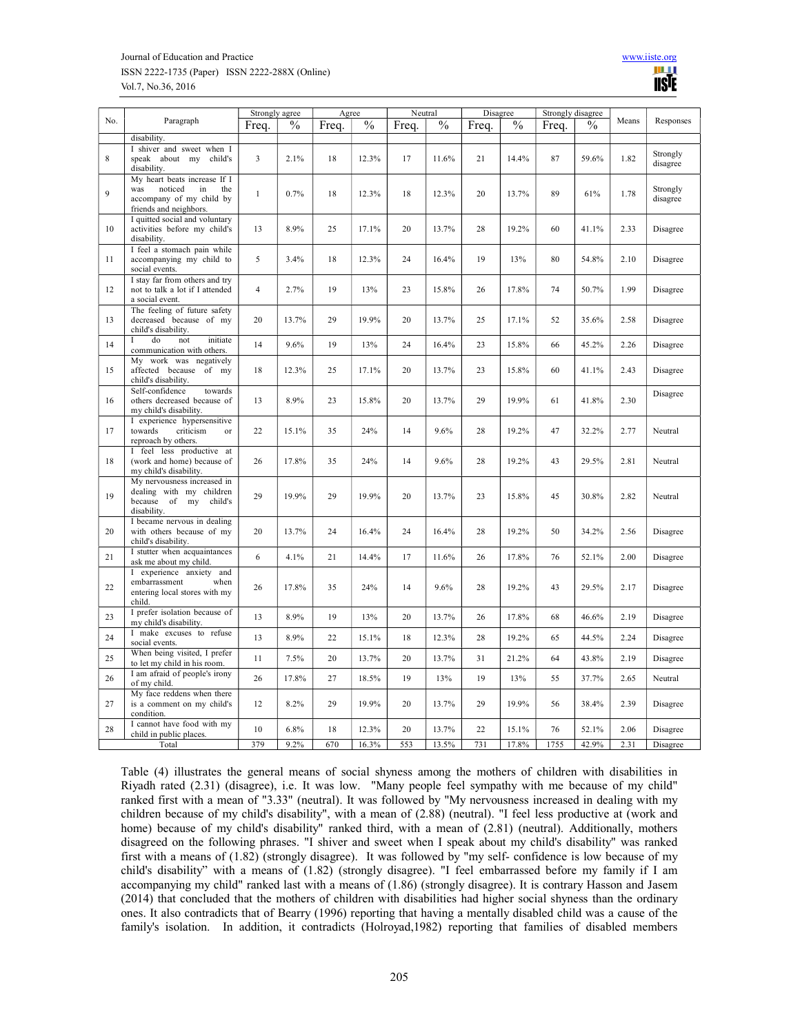#### Journal of Education and Practice www.iiste.org ISSN 2222-1735 (Paper) ISSN 2222-288X (Online) Vol.7, No.36, 2016



|     |                                                                                                                   | Strongly agree<br>Agree |       |       | Neutral       |       | Disagree      |       | Strongly disagree |       |               |       |                      |
|-----|-------------------------------------------------------------------------------------------------------------------|-------------------------|-------|-------|---------------|-------|---------------|-------|-------------------|-------|---------------|-------|----------------------|
| No. | Paragraph                                                                                                         | Freq.                   | $\%$  | Freq. | $\frac{0}{0}$ | Freq. | $\frac{0}{0}$ | Freq. | $\frac{0}{0}$     | Freq. | $\frac{0}{0}$ | Means | Responses            |
|     | disability.                                                                                                       |                         |       |       |               |       |               |       |                   |       |               |       |                      |
| 8   | I shiver and sweet when I<br>speak about my child's<br>disability.                                                | $\overline{3}$          | 2.1%  | 18    | 12.3%         | 17    | 11.6%         | 21    | 14.4%             | 87    | 59.6%         | 1.82  | Strongly<br>disagree |
| 9   | My heart beats increase If I<br>noticed<br>the<br>was<br>in<br>accompany of my child by<br>friends and neighbors. | $\mathbf{1}$            | 0.7%  | 18    | 12.3%         | 18    | 12.3%         | 20    | 13.7%             | 89    | 61%           | 1.78  | Strongly<br>disagree |
| 10  | I quitted social and voluntary<br>activities before my child's<br>disability.                                     | 13                      | 8.9%  | 25    | 17.1%         | 20    | 13.7%         | 28    | 19.2%             | 60    | 41.1%         | 2.33  | Disagree             |
| 11  | I feel a stomach pain while<br>accompanying my child to<br>social events.                                         | 5                       | 3.4%  | 18    | 12.3%         | 24    | 16.4%         | 19    | 13%               | 80    | 54.8%         | 2.10  | Disagree             |
| 12  | I stay far from others and try<br>not to talk a lot if I attended<br>a social event.                              | $\overline{4}$          | 2.7%  | 19    | 13%           | 23    | 15.8%         | 26    | 17.8%             | 74    | 50.7%         | 1.99  | Disagree             |
| 13  | The feeling of future safety<br>decreased because of my<br>child's disability.                                    | 20                      | 13.7% | 29    | 19.9%         | 20    | 13.7%         | 25    | 17.1%             | 52    | 35.6%         | 2.58  | Disagree             |
| 14  | do<br>$\mathbf I$<br>not<br>initiate<br>communication with others.                                                | 14                      | 9.6%  | 19    | 13%           | 24    | 16.4%         | 23    | 15.8%             | 66    | 45.2%         | 2.26  | Disagree             |
| 15  | work was negatively<br>Mv<br>affected because of my<br>child's disability.                                        | 18                      | 12.3% | 25    | 17.1%         | 20    | 13.7%         | 23    | 15.8%             | 60    | 41.1%         | 2.43  | Disagree             |
| 16  | Self-confidence<br>towards<br>others decreased because of<br>my child's disability.                               | 13                      | 8.9%  | 23    | 15.8%         | 20    | 13.7%         | 29    | 19.9%             | 61    | 41.8%         | 2.30  | Disagree             |
| 17  | I experience hypersensitive<br>towards<br>criticism<br>$_{\text{or}}$<br>reproach by others.                      | 22                      | 15.1% | 35    | 24%           | 14    | 9.6%          | 28    | 19.2%             | 47    | 32.2%         | 2.77  | Neutral              |
| 18  | I feel less productive at<br>(work and home) because of<br>my child's disability.                                 | 26                      | 17.8% | 35    | 24%           | 14    | 9.6%          | 28    | 19.2%             | 43    | 29.5%         | 2.81  | Neutral              |
| 19  | My nervousness increased in<br>dealing with my children<br>because<br>of my<br>child's<br>disability.             | 29                      | 19.9% | 29    | 19.9%         | 20    | 13.7%         | 23    | 15.8%             | 45    | 30.8%         | 2.82  | Neutral              |
| 20  | I became nervous in dealing<br>with others because of my<br>child's disability.                                   | 20                      | 13.7% | 24    | 16.4%         | 24    | 16.4%         | 28    | 19.2%             | 50    | 34.2%         | 2.56  | Disagree             |
| 21  | I stutter when acquaintances<br>ask me about my child.                                                            | 6                       | 4.1%  | 21    | 14.4%         | 17    | 11.6%         | 26    | 17.8%             | 76    | 52.1%         | 2.00  | Disagree             |
| 22  | I experience anxiety and<br>embarrassment<br>when<br>entering local stores with my<br>child.                      | 26                      | 17.8% | 35    | 24%           | 14    | 9.6%          | 28    | 19.2%             | 43    | 29.5%         | 2.17  | Disagree             |
| 23  | I prefer isolation because of<br>my child's disability.                                                           | 13                      | 8.9%  | 19    | 13%           | 20    | 13.7%         | 26    | 17.8%             | 68    | 46.6%         | 2.19  | Disagree             |
| 24  | I make excuses to refuse<br>social events.                                                                        | 13                      | 8.9%  | 22    | 15.1%         | 18    | 12.3%         | 28    | 19.2%             | 65    | 44.5%         | 2.24  | Disagree             |
| 25  | When being visited, I prefer<br>to let my child in his room.                                                      | 11                      | 7.5%  | 20    | 13.7%         | 20    | 13.7%         | 31    | 21.2%             | 64    | 43.8%         | 2.19  | Disagree             |
| 26  | I am afraid of people's irony<br>of my child.                                                                     | 26                      | 17.8% | 27    | 18.5%         | 19    | 13%           | 19    | 13%               | 55    | 37.7%         | 2.65  | Neutral              |
| 27  | My face reddens when there<br>is a comment on my child's<br>condition.                                            | 12                      | 8.2%  | 29    | 19.9%         | 20    | 13.7%         | 29    | 19.9%             | 56    | 38.4%         | 2.39  | Disagree             |
| 28  | I cannot have food with my<br>child in public places.                                                             | 10                      | 6.8%  | 18    | 12.3%         | 20    | 13.7%         | 22    | 15.1%             | 76    | 52.1%         | 2.06  | Disagree             |
|     | Total                                                                                                             | 379                     | 9.2%  | 670   | 16.3%         | 553   | 13.5%         | 731   | 17.8%             | 1755  | 42.9%         | 2.31  | Disagree             |

Table (4) illustrates the general means of social shyness among the mothers of children with disabilities in Riyadh rated (2.31) (disagree), i.e. It was low. "Many people feel sympathy with me because of my child" ranked first with a mean of "3.33" (neutral). It was followed by "My nervousness increased in dealing with my children because of my child's disability", with a mean of (2.88) (neutral). "I feel less productive at (work and home) because of my child's disability" ranked third, with a mean of (2.81) (neutral). Additionally, mothers disagreed on the following phrases. "I shiver and sweet when I speak about my child's disability" was ranked first with a means of (1.82) (strongly disagree). It was followed by "my self- confidence is low because of my child's disability" with a means of (1.82) (strongly disagree). "I feel embarrassed before my family if I am accompanying my child" ranked last with a means of (1.86) (strongly disagree). It is contrary Hasson and Jasem (2014) that concluded that the mothers of children with disabilities had higher social shyness than the ordinary ones. It also contradicts that of Bearry (1996) reporting that having a mentally disabled child was a cause of the family's isolation. In addition, it contradicts (Holroyad,1982) reporting that families of disabled members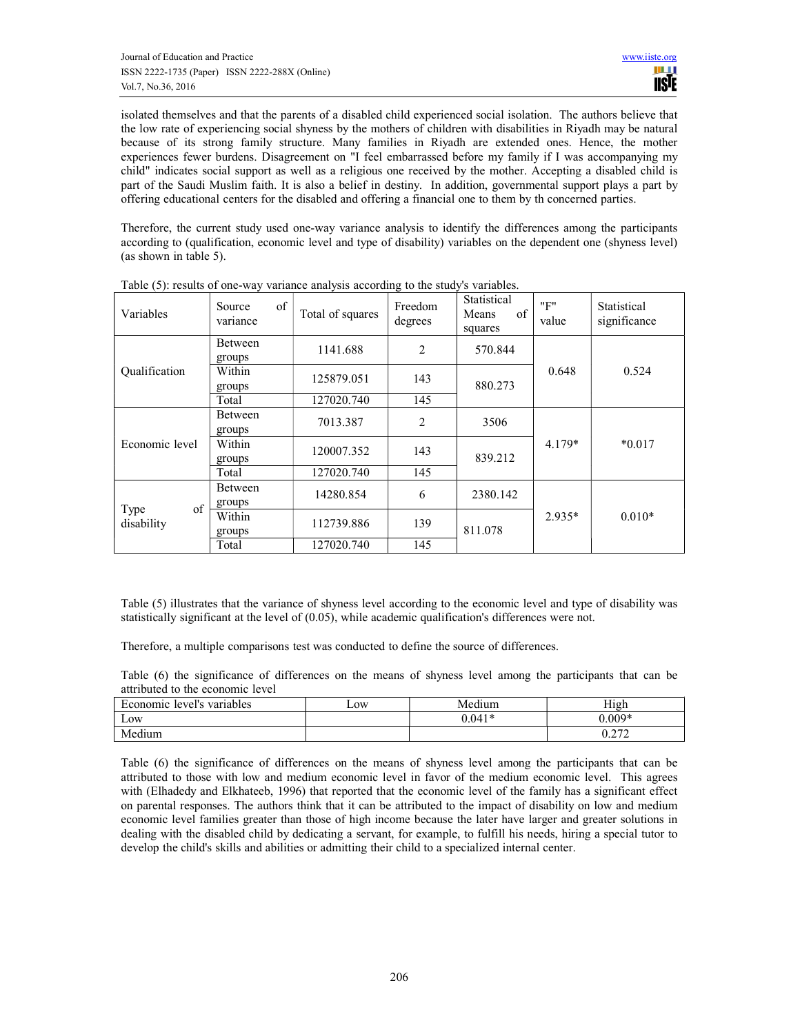isolated themselves and that the parents of a disabled child experienced social isolation. The authors believe that the low rate of experiencing social shyness by the mothers of children with disabilities in Riyadh may be natural because of its strong family structure. Many families in Riyadh are extended ones. Hence, the mother experiences fewer burdens. Disagreement on "I feel embarrassed before my family if I was accompanying my child" indicates social support as well as a religious one received by the mother. Accepting a disabled child is part of the Saudi Muslim faith. It is also a belief in destiny. In addition, governmental support plays a part by offering educational centers for the disabled and offering a financial one to them by th concerned parties.

Therefore, the current study used one-way variance analysis to identify the differences among the participants according to (qualification, economic level and type of disability) variables on the dependent one (shyness level) (as shown in table 5).

| Variables            | of<br>Source<br>variance | Total of squares | Freedom<br>degrees | Statistical<br>Means<br>of<br>squares | "F"<br>value | Statistical<br>significance |
|----------------------|--------------------------|------------------|--------------------|---------------------------------------|--------------|-----------------------------|
|                      | Between<br>groups        | 1141.688         | $\overline{2}$     | 570.844                               |              |                             |
| <b>Qualification</b> | Within<br>groups         | 125879.051       | 143                | 880.273                               | 0.648        | 0.524                       |
|                      | Total                    | 127020.740       | 145                |                                       |              |                             |
|                      | <b>Between</b><br>groups | 7013.387         | 2                  | 3506                                  |              | $*0.017$                    |
| Economic level       | Within<br>groups         | 120007.352       | 143                | 839.212                               | $4.179*$     |                             |
|                      | Total                    | 127020.740       | 145                |                                       |              |                             |
| of                   | <b>Between</b><br>groups | 14280.854        | 6                  | 2380.142                              |              | $0.010*$                    |
| Type<br>disability   | Within<br>groups         | 112739.886       | 139                | 811.078                               | $2.935*$     |                             |
|                      | Total                    | 127020.740       | 145                |                                       |              |                             |

Table (5): results of one-way variance analysis according to the study's variables.

Table (5) illustrates that the variance of shyness level according to the economic level and type of disability was statistically significant at the level of (0.05), while academic qualification's differences were not.

Therefore, a multiple comparisons test was conducted to define the source of differences.

Table (6) the significance of differences on the means of shyness level among the participants that can be attributed to the economic level

| $\blacksquare$<br>Economic<br>level's variables | $L$ OW | Medium   | тт•<br>H1gh      |
|-------------------------------------------------|--------|----------|------------------|
| -<br>Low                                        |        | $0.041*$ | $0.009*$         |
| Medium                                          |        |          | 0.272<br>V.∠ / ∠ |

Table (6) the significance of differences on the means of shyness level among the participants that can be attributed to those with low and medium economic level in favor of the medium economic level. This agrees with (Elhadedy and Elkhateeb, 1996) that reported that the economic level of the family has a significant effect on parental responses. The authors think that it can be attributed to the impact of disability on low and medium economic level families greater than those of high income because the later have larger and greater solutions in dealing with the disabled child by dedicating a servant, for example, to fulfill his needs, hiring a special tutor to develop the child's skills and abilities or admitting their child to a specialized internal center.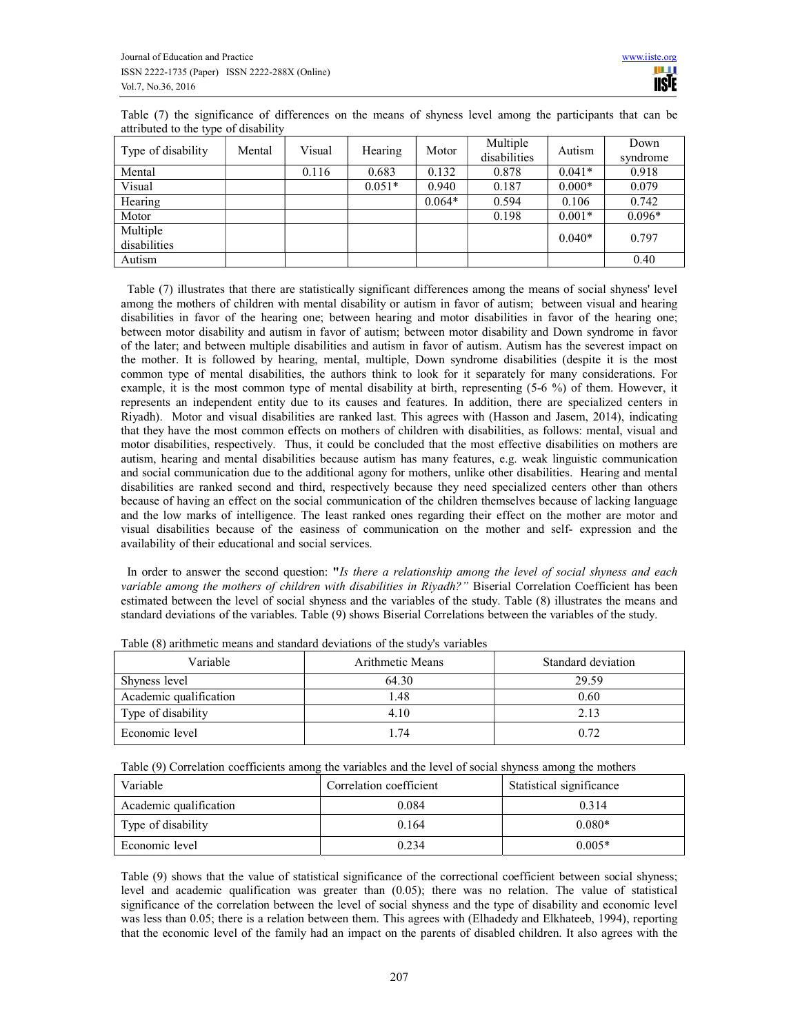Table (7) the significance of differences on the means of shyness level among the participants that can be attributed to the type of disability

| . .<br>Type of disability | Mental | Visual | Hearing  | Motor    | Multiple<br>disabilities | Autism   | Down<br>syndrome |
|---------------------------|--------|--------|----------|----------|--------------------------|----------|------------------|
| Mental                    |        | 0.116  | 0.683    | 0.132    | 0.878                    | $0.041*$ | 0.918            |
| Visual                    |        |        | $0.051*$ | 0.940    | 0.187                    | $0.000*$ | 0.079            |
| Hearing                   |        |        |          | $0.064*$ | 0.594                    | 0.106    | 0.742            |
| Motor                     |        |        |          |          | 0.198                    | $0.001*$ | $0.096*$         |
| Multiple                  |        |        |          |          |                          | $0.040*$ | 0.797            |
| disabilities              |        |        |          |          |                          |          |                  |
| Autism                    |        |        |          |          |                          |          | 0.40             |

 Table (7) illustrates that there are statistically significant differences among the means of social shyness' level among the mothers of children with mental disability or autism in favor of autism; between visual and hearing disabilities in favor of the hearing one; between hearing and motor disabilities in favor of the hearing one; between motor disability and autism in favor of autism; between motor disability and Down syndrome in favor of the later; and between multiple disabilities and autism in favor of autism. Autism has the severest impact on the mother. It is followed by hearing, mental, multiple, Down syndrome disabilities (despite it is the most common type of mental disabilities, the authors think to look for it separately for many considerations. For example, it is the most common type of mental disability at birth, representing (5-6 %) of them. However, it represents an independent entity due to its causes and features. In addition, there are specialized centers in Riyadh). Motor and visual disabilities are ranked last. This agrees with (Hasson and Jasem, 2014), indicating that they have the most common effects on mothers of children with disabilities, as follows: mental, visual and motor disabilities, respectively. Thus, it could be concluded that the most effective disabilities on mothers are autism, hearing and mental disabilities because autism has many features, e.g. weak linguistic communication and social communication due to the additional agony for mothers, unlike other disabilities. Hearing and mental disabilities are ranked second and third, respectively because they need specialized centers other than others because of having an effect on the social communication of the children themselves because of lacking language and the low marks of intelligence. The least ranked ones regarding their effect on the mother are motor and visual disabilities because of the easiness of communication on the mother and self- expression and the availability of their educational and social services.

In order to answer the second question: "Is there a relationship among the level of social shyness and each variable among the mothers of children with disabilities in Riyadh?" Biserial Correlation Coefficient has been estimated between the level of social shyness and the variables of the study. Table (8) illustrates the means and standard deviations of the variables. Table (9) shows Biserial Correlations between the variables of the study.

| Variable               | Arithmetic Means | Standard deviation |  |  |
|------------------------|------------------|--------------------|--|--|
| Shyness level          | 64.30            | 29.59              |  |  |
| Academic qualification | 1.48             | 0.60               |  |  |
| Type of disability     | 4.10             | 2.13               |  |  |
| Economic level         | 1.74             | 0.72               |  |  |

Table (8) arithmetic means and standard deviations of the study's variables

Table (9) Correlation coefficients among the variables and the level of social shyness among the mothers

| Variable               | Correlation coefficient | Statistical significance |
|------------------------|-------------------------|--------------------------|
| Academic qualification | 0.084                   | 0.314                    |
| Type of disability     | 0.164                   | $0.080*$                 |
| Economic level         | 0.234                   | $0.005*$                 |

Table (9) shows that the value of statistical significance of the correctional coefficient between social shyness; level and academic qualification was greater than (0.05); there was no relation. The value of statistical significance of the correlation between the level of social shyness and the type of disability and economic level was less than 0.05; there is a relation between them. This agrees with (Elhadedy and Elkhateeb, 1994), reporting that the economic level of the family had an impact on the parents of disabled children. It also agrees with the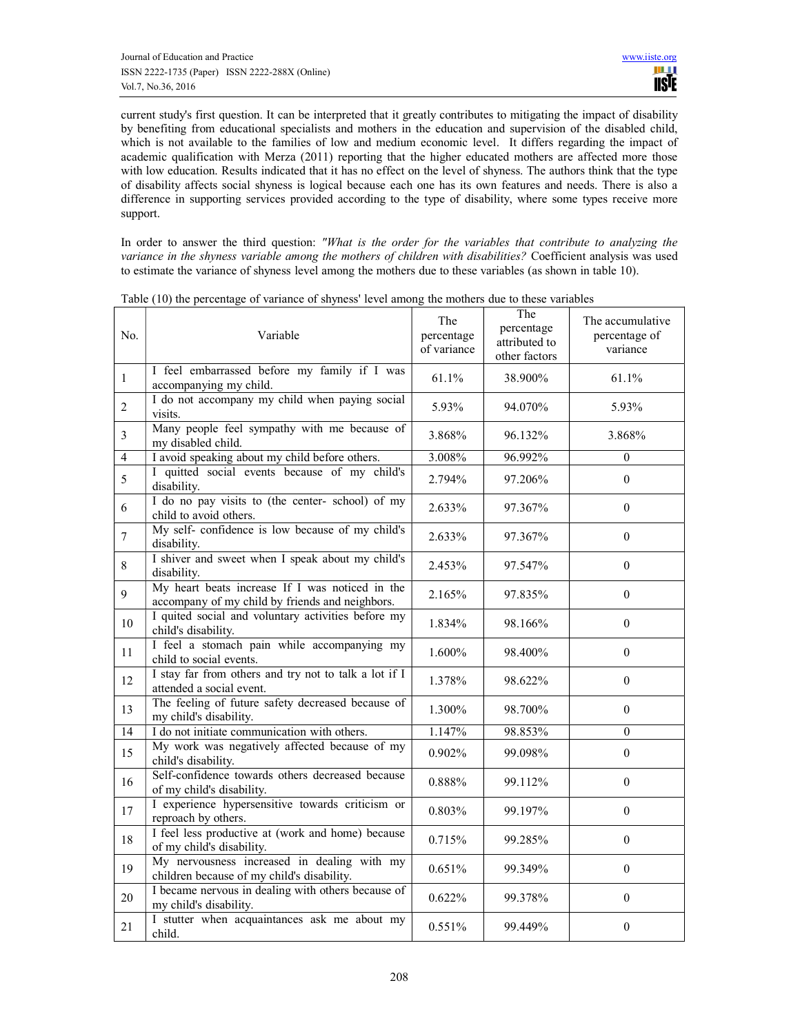current study's first question. It can be interpreted that it greatly contributes to mitigating the impact of disability by benefiting from educational specialists and mothers in the education and supervision of the disabled child, which is not available to the families of low and medium economic level. It differs regarding the impact of academic qualification with Merza (2011) reporting that the higher educated mothers are affected more those with low education. Results indicated that it has no effect on the level of shyness. The authors think that the type of disability affects social shyness is logical because each one has its own features and needs. There is also a difference in supporting services provided according to the type of disability, where some types receive more support.

In order to answer the third question: "What is the order for the variables that contribute to analyzing the variance in the shyness variable among the mothers of children with disabilities? Coefficient analysis was used to estimate the variance of shyness level among the mothers due to these variables (as shown in table 10).

| No.            | Variable                                                                                           | The<br>percentage<br>of variance | The<br>percentage<br>attributed to<br>other factors | The accumulative<br>percentage of<br>variance |
|----------------|----------------------------------------------------------------------------------------------------|----------------------------------|-----------------------------------------------------|-----------------------------------------------|
| $\mathbf{1}$   | I feel embarrassed before my family if I was<br>accompanying my child.                             | 61.1%                            | 38.900%                                             | 61.1%                                         |
| $\overline{2}$ | I do not accompany my child when paying social<br>visits.                                          | 5.93%                            | 94.070%                                             | 5.93%                                         |
| $\overline{3}$ | Many people feel sympathy with me because of<br>my disabled child.                                 | 3.868%                           | 96.132%                                             | 3.868%                                        |
| $\overline{4}$ | I avoid speaking about my child before others.                                                     | 3.008%                           | 96.992%                                             | $\theta$                                      |
| 5              | I quitted social events because of my child's<br>disability.                                       | 2.794%                           | 97.206%                                             | $\boldsymbol{0}$                              |
| 6              | I do no pay visits to (the center- school) of my<br>child to avoid others.                         | 2.633%                           | 97.367%                                             | $\theta$                                      |
| $\overline{7}$ | My self- confidence is low because of my child's<br>disability.                                    | 2.633%                           | 97.367%                                             | $\overline{0}$                                |
| 8              | I shiver and sweet when I speak about my child's<br>disability.                                    | 2.453%                           | 97.547%                                             | $\theta$                                      |
| 9              | My heart beats increase If I was noticed in the<br>accompany of my child by friends and neighbors. | 2.165%                           | 97.835%                                             | $\Omega$                                      |
| $10\,$         | I quited social and voluntary activities before my<br>child's disability.                          | 1.834%                           | 98.166%                                             | $\overline{0}$                                |
| 11             | I feel a stomach pain while accompanying my<br>child to social events.                             | 1.600%                           | 98.400%                                             | $\theta$                                      |
| 12             | I stay far from others and try not to talk a lot if I<br>attended a social event.                  | 1.378%                           | 98.622%                                             | $\Omega$                                      |
| 13             | The feeling of future safety decreased because of<br>my child's disability.                        | 1.300%                           | 98.700%                                             | $\overline{0}$                                |
| 14             | I do not initiate communication with others.                                                       | 1.147%                           | 98.853%                                             | $\overline{0}$                                |
| 15             | My work was negatively affected because of my<br>child's disability.                               | 0.902%                           | 99.098%                                             | $\theta$                                      |
| 16             | Self-confidence towards others decreased because<br>of my child's disability.                      | 0.888%                           | 99.112%                                             | $\Omega$                                      |
| 17             | I experience hypersensitive towards criticism or<br>reproach by others.                            | 0.803%                           | 99.197%                                             | $\boldsymbol{0}$                              |
| 18             | I feel less productive at (work and home) because<br>of my child's disability.                     | 0.715%                           | 99.285%                                             | $\mathbf{0}$                                  |
| 19             | My nervousness increased in dealing with my<br>children because of my child's disability.          | 0.651%                           | 99.349%                                             | $\theta$                                      |
| 20             | I became nervous in dealing with others because of<br>my child's disability.                       | 0.622%                           | 99.378%                                             | $\overline{0}$                                |
| 21             | I stutter when acquaintances ask me about my<br>child.                                             | 0.551%                           | 99.449%                                             | $\boldsymbol{0}$                              |

Table (10) the percentage of variance of shyness' level among the mothers due to these variables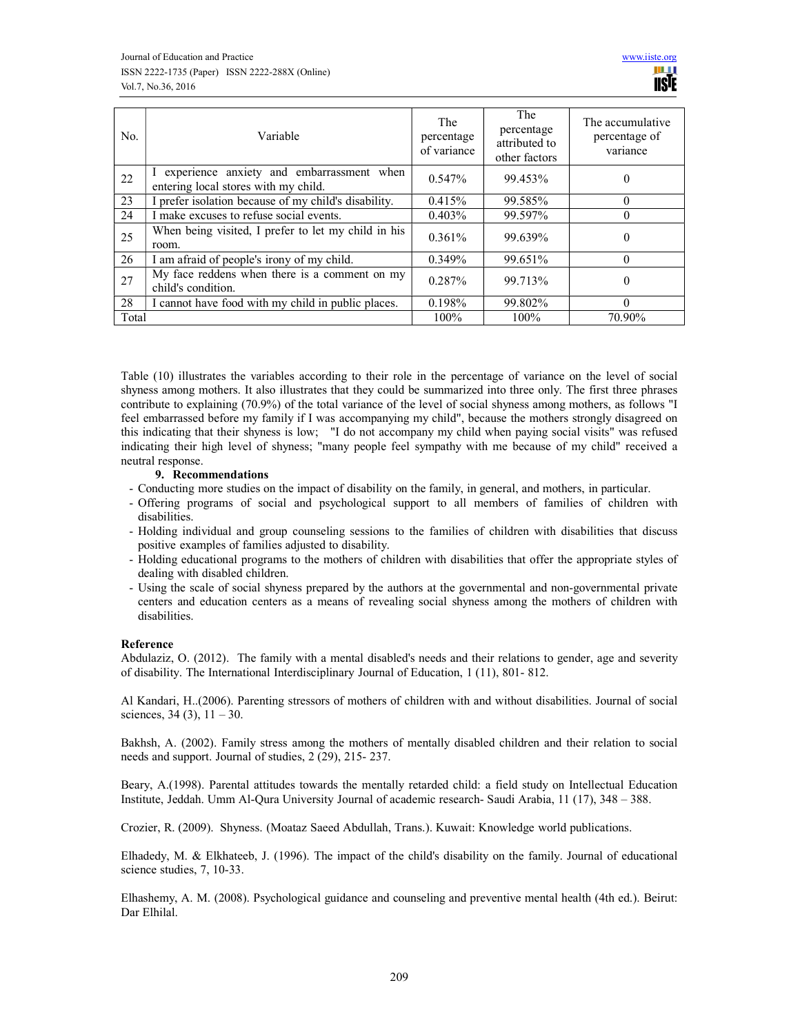| No.   | Variable                                                                            | The<br>percentage<br>of variance | The<br>percentage<br>attributed to<br>other factors | The accumulative<br>percentage of<br>variance |
|-------|-------------------------------------------------------------------------------------|----------------------------------|-----------------------------------------------------|-----------------------------------------------|
| 22    | I experience anxiety and embarrassment when<br>entering local stores with my child. | 0.547%                           | 99.453%                                             | $\theta$                                      |
| 23    | I prefer isolation because of my child's disability.                                | 0.415%                           | 99.585%                                             |                                               |
| 24    | I make excuses to refuse social events.                                             | 0.403%                           | 99.597%                                             |                                               |
| 25    | When being visited, I prefer to let my child in his<br>room.                        | 0.361%                           | 99.639%                                             | 0                                             |
| 26    | I am afraid of people's irony of my child.                                          | 0.349%                           | 99.651%                                             |                                               |
| 27    | My face reddens when there is a comment on my<br>child's condition.                 | 0.287%                           | 99.713%                                             | $\Omega$                                      |
| 28    | I cannot have food with my child in public places.                                  | 0.198%                           | 99.802%                                             | 0                                             |
| Total |                                                                                     | $100\%$                          | 100%                                                | 70.90%                                        |

Table (10) illustrates the variables according to their role in the percentage of variance on the level of social shyness among mothers. It also illustrates that they could be summarized into three only. The first three phrases contribute to explaining (70.9%) of the total variance of the level of social shyness among mothers, as follows "I feel embarrassed before my family if I was accompanying my child", because the mothers strongly disagreed on this indicating that their shyness is low; "I do not accompany my child when paying social visits" was refused indicating their high level of shyness; "many people feel sympathy with me because of my child" received a neutral response.

#### 9. Recommendations

- Conducting more studies on the impact of disability on the family, in general, and mothers, in particular.
- Offering programs of social and psychological support to all members of families of children with disabilities.
- Holding individual and group counseling sessions to the families of children with disabilities that discuss positive examples of families adjusted to disability.
- Holding educational programs to the mothers of children with disabilities that offer the appropriate styles of dealing with disabled children.
- Using the scale of social shyness prepared by the authors at the governmental and non-governmental private centers and education centers as a means of revealing social shyness among the mothers of children with disabilities.

#### Reference

Abdulaziz, O. (2012). The family with a mental disabled's needs and their relations to gender, age and severity of disability. The International Interdisciplinary Journal of Education, 1 (11), 801- 812.

Al Kandari, H..(2006). Parenting stressors of mothers of children with and without disabilities. Journal of social sciences,  $34(3)$ ,  $11-30$ .

Bakhsh, A. (2002). Family stress among the mothers of mentally disabled children and their relation to social needs and support. Journal of studies, 2 (29), 215- 237.

Beary, A.(1998). Parental attitudes towards the mentally retarded child: a field study on Intellectual Education Institute, Jeddah. Umm Al-Qura University Journal of academic research- Saudi Arabia, 11 (17), 348 – 388.

Crozier, R. (2009). Shyness. (Moataz Saeed Abdullah, Trans.). Kuwait: Knowledge world publications.

Elhadedy, M. & Elkhateeb, J. (1996). The impact of the child's disability on the family. Journal of educational science studies, 7, 10-33.

Elhashemy, A. M. (2008). Psychological guidance and counseling and preventive mental health (4th ed.). Beirut: Dar Elhilal.